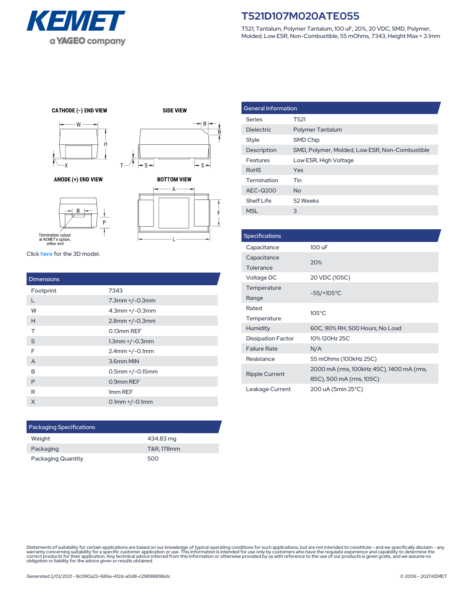

T521, Tantalum, Polymer Tantalum, 100 uF, 20%, 20 VDC, SMD, Polymer, Molded, Low ESR, Non-Combustible, 55 mOhms, 7343, Height Max = 3.1mm

**CATHODE (-) END VIEW** 



ANODE (+) END VIEW



R

**SIDE VIEW** 





Click [here](https://vendor.ultralibrarian.com/kemet/embedded?vdrpn=T521D107M020ATE055) for the 3D model.

| <b>Dimensions</b> |                      |
|-------------------|----------------------|
| Footprint         | 7343                 |
| L                 | $7.3$ mm $+/-0.3$ mm |
| W                 | $4.3$ mm $+/-0.3$ mm |
| H                 | $2.8$ mm $+/-0.3$ mm |
| т                 | 0.13mm REF           |
| S                 | $1.3$ mm $+/-0.3$ mm |
| F                 | $2.4$ mm $+/-0.1$ mm |
| A                 | 3.6mm MIN            |
| B                 | $0.5$ mm +/-0.15mm   |
| P                 | 0.9mm REF            |
| R                 | 1mm REF              |
| X                 | $0.1$ mm $+/-0.1$ mm |
|                   |                      |

Ţ.

| <b>Packaging Specifications</b> |            |  |
|---------------------------------|------------|--|
| Weight                          | 434.83 mg  |  |
| Packaging                       | T&R, 178mm |  |
| <b>Packaging Quantity</b>       | 500        |  |

| <b>General Information</b> |                                                |  |
|----------------------------|------------------------------------------------|--|
| <b>Series</b>              | T521                                           |  |
| <b>Dielectric</b>          | <b>Polymer Tantalum</b>                        |  |
| Style                      | SMD Chip                                       |  |
| Description                | SMD, Polymer, Molded, Low ESR, Non-Combustible |  |
| Features                   | Low ESR, High Voltage                          |  |
| <b>RoHS</b>                | Yes                                            |  |
| Termination                | Tin                                            |  |
| AEC-Q200                   | <b>No</b>                                      |  |
| Shelf Life                 | 52 Weeks                                       |  |
| MSL                        | 3                                              |  |

| <b>Specifications</b>     |                                          |  |
|---------------------------|------------------------------------------|--|
| Capacitance               | 100 uF                                   |  |
| Capacitance               | 20%                                      |  |
| Tolerance                 |                                          |  |
| Voltage DC                | 20 VDC (105C)                            |  |
| Temperature               |                                          |  |
| Range                     | $-55/+105^{\circ}C$                      |  |
| Rated                     | $105^{\circ}$ C                          |  |
| Temperature               |                                          |  |
| <b>Humidity</b>           | 60C, 90% RH, 500 Hours, No Load          |  |
| <b>Dissipation Factor</b> | 10% 120Hz 25C                            |  |
| <b>Failure Rate</b>       | N/A                                      |  |
| Resistance                | 55 mOhms (100kHz 25C)                    |  |
| <b>Ripple Current</b>     | 2000 mA (rms, 100kHz 45C), 1400 mA (rms, |  |
|                           | 85C), 500 mA (rms, 105C)                 |  |
| Leakage Current           | 200 uA (5min 25°C)                       |  |

Statements of suitability for certain applications are based on our knowledge of typical operating conditions for such applications, but are not intended to constitute - and we specifically disclaim - any<br>warranty concerni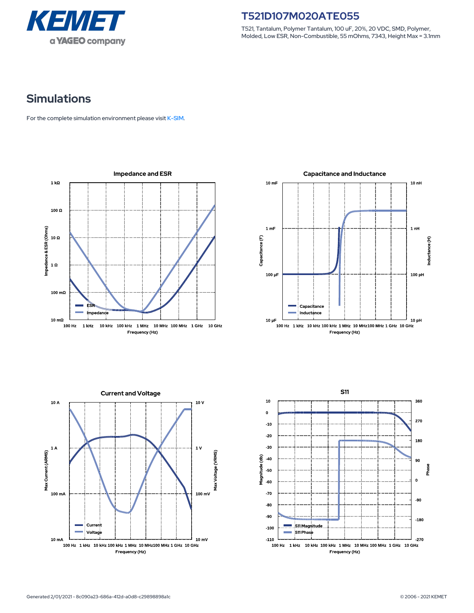

T521, Tantalum, Polymer Tantalum, 100 uF, 20%, 20 VDC, SMD, Polymer, Molded, Low ESR, Non-Combustible, 55 mOhms, 7343, Height Max = 3.1mm

# **Simulations**

For the complete simulation environment please visit [K-SIM](https://ksim.kemet.com/?pn=T521D107M020ATE055).







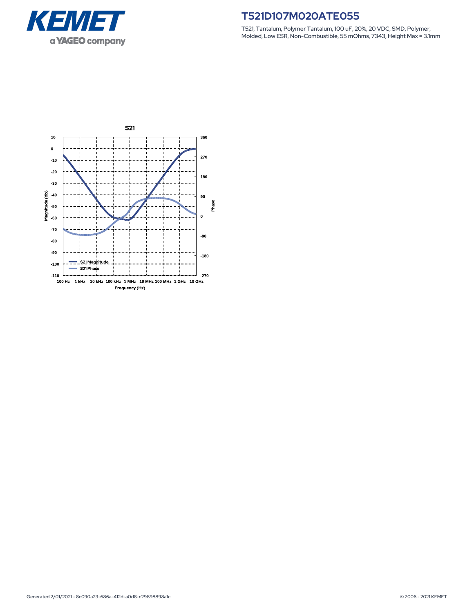

T521, Tantalum, Polymer Tantalum, 100 uF, 20%, 20 VDC, SMD, Polymer, Molded, Low ESR, Non-Combustible, 55 mOhms, 7343, Height Max = 3.1mm